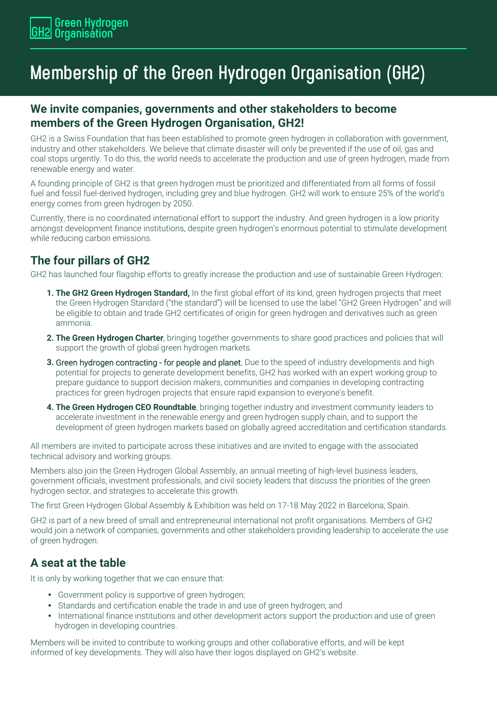# **Membership of the Green Hydrogen Organisation (GH2)**

### **We invite companies, governments and other stakeholders to become members of the Green Hydrogen Organisation, GH2!**

GH2 is a Swiss Foundation that has been established to promote green hydrogen in collaboration with government, industry and other stakeholders. We believe that climate disaster will only be prevented if the use of oil, gas and coal stops urgently. To do this, the world needs to accelerate the production and use of green hydrogen, made from renewable energy and water.

A founding principle of GH2 is that green hydrogen must be prioritized and differentiated from all forms of fossil fuel and fossil fuel-derived hydrogen, including grey and blue hydrogen. GH2 will work to ensure 25% of the world's energy comes from green hydrogen by 2050.

Currently, there is no coordinated international effort to support the industry. And green hydrogen is a low priority amongst development finance institutions, despite green hydrogen's enormous potential to stimulate development while reducing carbon emissions.

# **The four pillars of GH2**

GH2 has launched four flagship efforts to greatly increase the production and use of sustainable Green Hydrogen:

- **1. The GH2 Green Hydrogen Standard,** In the first global effort of its kind, green hydrogen projects that meet the Green Hydrogen Standard ("the standard") will be licensed to use the label "GH2 Green Hydrogen" and will be eligible to obtain and trade GH2 certificates of origin for green hydrogen and derivatives such as green ammonia.
- **2. The Green Hydrogen Charter**, bringing together governments to share good practices and policies that will support the growth of global green hydrogen markets.
- **3.** Green hydrogen contracting for people and planet. Due to the speed of industry developments and high potential for projects to generate development benefits, GH2 has worked with an expert working group to prepare guidance to support decision makers, communities and companies in developing contracting practices for green hydrogen projects that ensure rapid expansion to everyone's benefit.
- **4. The Green Hydrogen CEO Roundtable**, bringing together industry and investment community leaders to accelerate investment in the renewable energy and green hydrogen supply chain, and to support the development of green hydrogen markets based on globally agreed accreditation and certification standards.

All members are invited to participate across these initiatives and are invited to engage with the associated technical advisory and working groups.

Members also join the Green Hydrogen Global Assembly, an annual meeting of high-level business leaders, government officials, investment professionals, and civil society leaders that discuss the priorities of the green hydrogen sector, and strategies to accelerate this growth.

The first Green Hydrogen Global Assembly & Exhibition was held on 17-18 May 2022 in Barcelona, Spain.

GH2 is part of a new breed of small and entrepreneurial international not profit organisations. Members of GH2 would join a network of companies, governments and other stakeholders providing leadership to accelerate the use of green hydrogen.

# **A seat at the table**

It is only by working together that we can ensure that:

- Government policy is supportive of green hydrogen;
- Standards and certification enable the trade in and use of green hydrogen; and
- International finance institutions and other development actors support the production and use of green hydrogen in developing countries.

Members will be invited to contribute to working groups and other collaborative efforts, and will be kept informed of key developments. They will also have their logos displayed on GH2's website.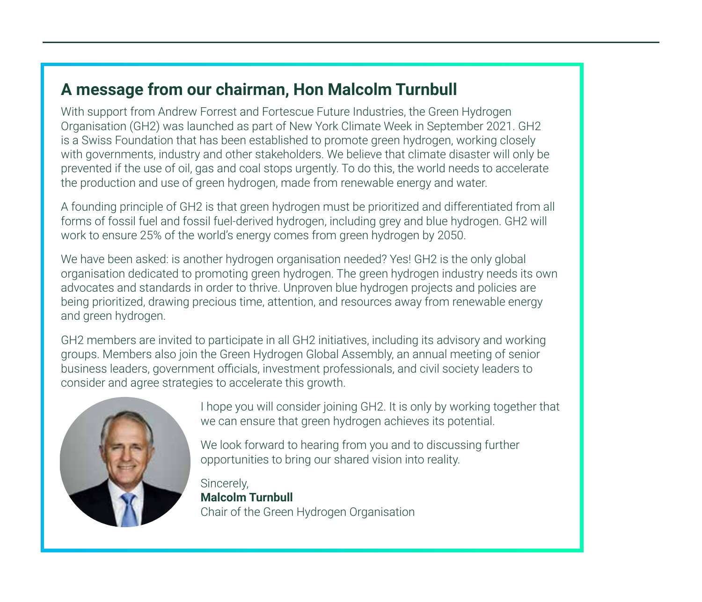### **A message from our chairman, Hon Malcolm Turnbull**

With support from Andrew Forrest and Fortescue Future Industries, the Green Hydrogen Organisation (GH2) was launched as part of New York Climate Week in September 2021. GH2 is a Swiss Foundation that has been established to promote green hydrogen, working closely with governments, industry and other stakeholders. We believe that climate disaster will only be prevented if the use of oil, gas and coal stops urgently. To do this, the world needs to accelerate the production and use of green hydrogen, made from renewable energy and water.

A founding principle of GH2 is that green hydrogen must be prioritized and differentiated from all forms of fossil fuel and fossil fuel-derived hydrogen, including grey and blue hydrogen. GH2 will work to ensure 25% of the world's energy comes from green hydrogen by 2050.

We have been asked: is another hydrogen organisation needed? Yes! GH2 is the only global organisation dedicated to promoting green hydrogen. The green hydrogen industry needs its own advocates and standards in order to thrive. Unproven blue hydrogen projects and policies are being prioritized, drawing precious time, attention, and resources away from renewable energy and green hydrogen.

GH2 members are invited to participate in all GH2 initiatives, including its advisory and working groups. Members also join the Green Hydrogen Global Assembly, an annual meeting of senior business leaders, government officials, investment professionals, and civil society leaders to consider and agree strategies to accelerate this growth.



I hope you will consider joining GH2. It is only by working together that we can ensure that green hydrogen achieves its potential.

We look forward to hearing from you and to discussing further opportunities to bring our shared vision into reality.

Sincerely, **Malcolm Turnbull** Chair of the Green Hydrogen Organisation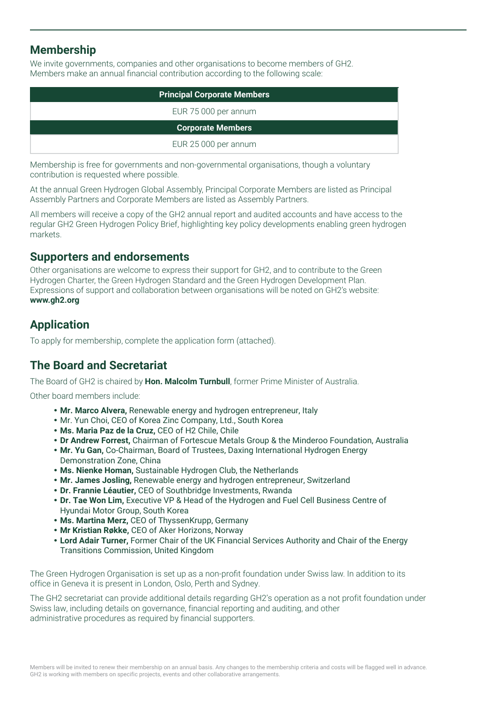### **Membership**

We invite governments, companies and other organisations to become members of GH2. Members make an annual financial contribution according to the following scale:

| <b>Principal Corporate Members</b> |  |  |
|------------------------------------|--|--|
| EUR 75 000 per annum               |  |  |
| <b>Corporate Members</b>           |  |  |
| EUR 25 000 per annum               |  |  |

Membership is free for governments and non-governmental organisations, though a voluntary contribution is requested where possible.

At the annual Green Hydrogen Global Assembly, Principal Corporate Members are listed as Principal Assembly Partners and Corporate Members are listed as Assembly Partners.

All members will receive a copy of the GH2 annual report and audited accounts and have access to the regular GH2 Green Hydrogen Policy Brief, highlighting key policy developments enabling green hydrogen markets.

### **Supporters and endorsements**

Other organisations are welcome to express their support for GH2, and to contribute to the Green Hydrogen Charter, the Green Hydrogen Standard and the Green Hydrogen Development Plan. Expressions of support and collaboration between organisations will be noted on GH2's website: **www.gh2.org** 

# **Application**

To apply for membership, complete the application form (attached).

### **The Board and Secretariat**

The Board of GH2 is chaired by **Hon. Malcolm Turnbull**, former Prime Minister of Australia.

Other board members include:

- **Mr. Marco Alvera,** Renewable energy and hydrogen entrepreneur, Italy
- Mr. Yun Choi, CEO of Korea Zinc Company, Ltd., South Korea
- **Ms. Maria Paz de la Cruz,** CEO of H2 Chile, Chile
- **Dr Andrew Forrest,** Chairman of Fortescue Metals Group & the Minderoo Foundation, Australia
- **Mr. Yu Gan,** Co-Chairman, Board of Trustees, Daxing International Hydrogen Energy Demonstration Zone, China
- **Ms. Nienke Homan,** Sustainable Hydrogen Club, the Netherlands
- **Mr. James Josling,** Renewable energy and hydrogen entrepreneur, Switzerland
- **Dr. Frannie Léautier,** CEO of Southbridge Investments, Rwanda
- **Dr. Tae Won Lim,** Executive VP & Head of the Hydrogen and Fuel Cell Business Centre of Hyundai Motor Group, South Korea
- **Ms. Martina Merz,** CEO of ThyssenKrupp, Germany
- **Mr Kristian Røkke,** CEO of Aker Horizons, Norway
- **Lord Adair Turner,** Former Chair of the UK Financial Services Authority and Chair of the Energy Transitions Commission, United Kingdom

The Green Hydrogen Organisation is set up as a non-profit foundation under Swiss law. In addition to its office in Geneva it is present in London, Oslo, Perth and Sydney.

The GH2 secretariat can provide additional details regarding GH2's operation as a not profit foundation under Swiss law, including details on governance, financial reporting and auditing, and other administrative procedures as required by financial supporters.